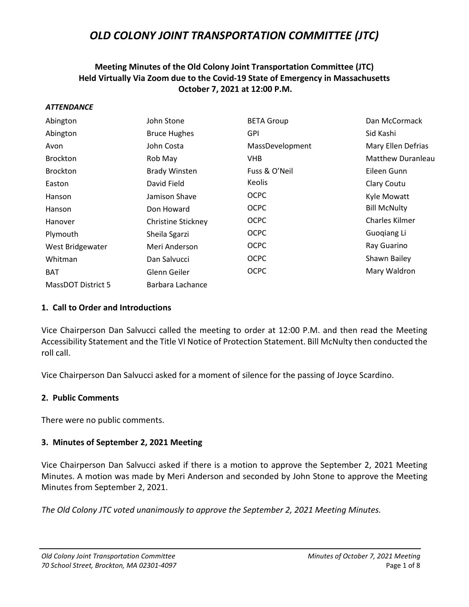# **Meeting Minutes of the Old Colony Joint Transportation Committee (JTC) Held Virtually Via Zoom due to the Covid-19 State of Emergency in Massachusetts October 7, 2021 at 12:00 P.M.**

#### *ATTENDANCE*

| Abington                  | John Stone           | <b>BETA Group</b> | Dan McCormack            |
|---------------------------|----------------------|-------------------|--------------------------|
| Abington                  | <b>Bruce Hughes</b>  | <b>GPI</b>        | Sid Kashi                |
| Avon                      | John Costa           | MassDevelopment   | Mary Ellen Defrias       |
| Brockton                  | Rob May              | VHB.              | <b>Matthew Duranleau</b> |
| <b>Brockton</b>           | <b>Brady Winsten</b> | Fuss & O'Neil     | Eileen Gunn              |
| Easton                    | David Field          | <b>Keolis</b>     | Clary Coutu              |
| Hanson                    | Jamison Shave        | <b>OCPC</b>       | Kyle Mowatt              |
| Hanson                    | Don Howard           | <b>OCPC</b>       | <b>Bill McNulty</b>      |
| Hanover                   | Christine Stickney   | <b>OCPC</b>       | <b>Charles Kilmer</b>    |
| Plymouth                  | Sheila Sgarzi        | <b>OCPC</b>       | Guogiang Li              |
| West Bridgewater          | Meri Anderson        | <b>OCPC</b>       | Ray Guarino              |
| Whitman                   | Dan Salvucci         | <b>OCPC</b>       | Shawn Bailey             |
| <b>BAT</b>                | Glenn Geiler         | <b>OCPC</b>       | Mary Waldron             |
| <b>MassDOT District 5</b> | Barbara Lachance     |                   |                          |

#### **1. Call to Order and Introductions**

Vice Chairperson Dan Salvucci called the meeting to order at 12:00 P.M. and then read the Meeting Accessibility Statement and the Title VI Notice of Protection Statement. Bill McNulty then conducted the roll call.

Vice Chairperson Dan Salvucci asked for a moment of silence for the passing of Joyce Scardino.

#### **2. Public Comments**

There were no public comments.

### **3. Minutes of September 2, 2021 Meeting**

Vice Chairperson Dan Salvucci asked if there is a motion to approve the September 2, 2021 Meeting Minutes. A motion was made by Meri Anderson and seconded by John Stone to approve the Meeting Minutes from September 2, 2021.

*The Old Colony JTC voted unanimously to approve the September 2, 2021 Meeting Minutes.*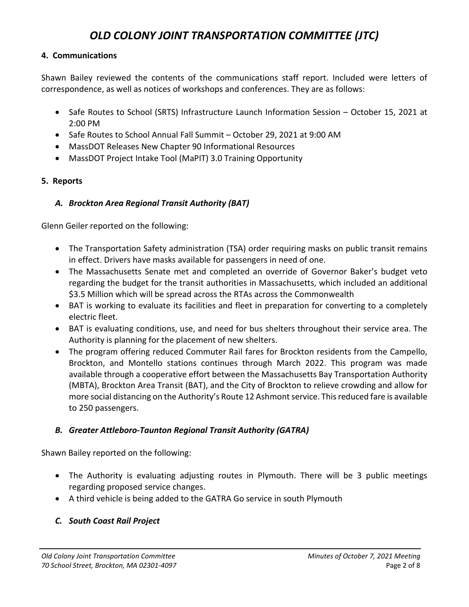## **4. Communications**

Shawn Bailey reviewed the contents of the communications staff report. Included were letters of correspondence, as well as notices of workshops and conferences. They are as follows:

- Safe Routes to School (SRTS) Infrastructure Launch Information Session October 15, 2021 at 2:00 PM
- Safe Routes to School Annual Fall Summit October 29, 2021 at 9:00 AM
- MassDOT Releases New Chapter 90 Informational Resources
- MassDOT Project Intake Tool (MaPIT) 3.0 Training Opportunity

# **5. Reports**

## *A. Brockton Area Regional Transit Authority (BAT)*

Glenn Geiler reported on the following:

- The Transportation Safety administration (TSA) order requiring masks on public transit remains in effect. Drivers have masks available for passengers in need of one.
- The Massachusetts Senate met and completed an override of Governor Baker's budget veto regarding the budget for the transit authorities in Massachusetts, which included an additional \$3.5 Million which will be spread across the RTAs across the Commonwealth
- BAT is working to evaluate its facilities and fleet in preparation for converting to a completely electric fleet.
- BAT is evaluating conditions, use, and need for bus shelters throughout their service area. The Authority is planning for the placement of new shelters.
- The program offering reduced Commuter Rail fares for Brockton residents from the Campello, Brockton, and Montello stations continues through March 2022. This program was made available through a cooperative effort between the Massachusetts Bay Transportation Authority (MBTA), Brockton Area Transit (BAT), and the City of Brockton to relieve crowding and allow for more social distancing on the Authority's Route 12 Ashmont service. This reduced fare is available to 250 passengers.

# *B. Greater Attleboro-Taunton Regional Transit Authority (GATRA)*

Shawn Bailey reported on the following:

- The Authority is evaluating adjusting routes in Plymouth. There will be 3 public meetings regarding proposed service changes.
- A third vehicle is being added to the GATRA Go service in south Plymouth

# *C. South Coast Rail Project*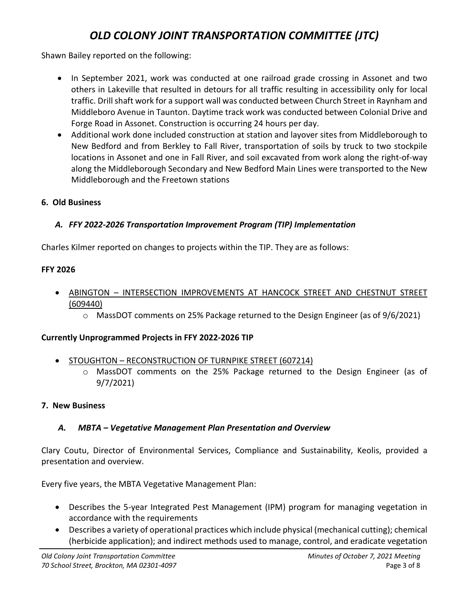Shawn Bailey reported on the following:

- In September 2021, work was conducted at one railroad grade crossing in Assonet and two others in Lakeville that resulted in detours for all traffic resulting in accessibility only for local traffic. Drill shaft work for a support wall was conducted between Church Street in Raynham and Middleboro Avenue in Taunton. Daytime track work was conducted between Colonial Drive and Forge Road in Assonet. Construction is occurring 24 hours per day.
- Additional work done included construction at station and layover sites from Middleborough to New Bedford and from Berkley to Fall River, transportation of soils by truck to two stockpile locations in Assonet and one in Fall River, and soil excavated from work along the right-of-way along the Middleborough Secondary and New Bedford Main Lines were transported to the New Middleborough and the Freetown stations

# **6. Old Business**

# *A. FFY 2022-2026 Transportation Improvement Program (TIP) Implementation*

Charles Kilmer reported on changes to projects within the TIP. They are as follows:

# **FFY 2026**

- ABINGTON INTERSECTION IMPROVEMENTS AT HANCOCK STREET AND CHESTNUT STREET (609440)
	- $\circ$  MassDOT comments on 25% Package returned to the Design Engineer (as of 9/6/2021)

# **Currently Unprogrammed Projects in FFY 2022-2026 TIP**

- STOUGHTON RECONSTRUCTION OF TURNPIKE STREET (607214)
	- o MassDOT comments on the 25% Package returned to the Design Engineer (as of 9/7/2021)

# **7. New Business**

# *A. MBTA – Vegetative Management Plan Presentation and Overview*

Clary Coutu, Director of Environmental Services, Compliance and Sustainability, Keolis, provided a presentation and overview.

Every five years, the MBTA Vegetative Management Plan:

- Describes the 5-year Integrated Pest Management (IPM) program for managing vegetation in accordance with the requirements
- Describes a variety of operational practices which include physical (mechanical cutting); chemical (herbicide application); and indirect methods used to manage, control, and eradicate vegetation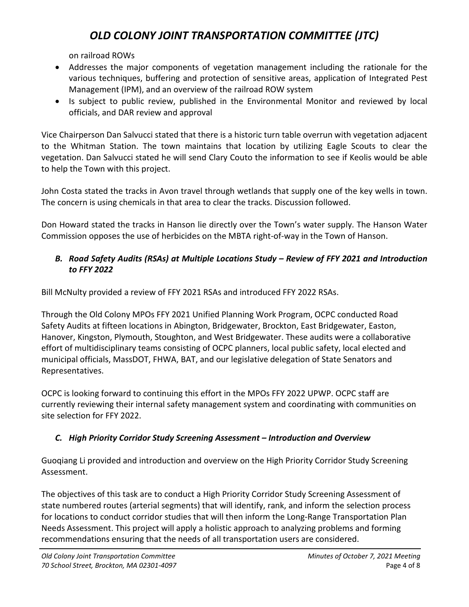on railroad ROWs

- Addresses the major components of vegetation management including the rationale for the various techniques, buffering and protection of sensitive areas, application of Integrated Pest Management (IPM), and an overview of the railroad ROW system
- Is subject to public review, published in the Environmental Monitor and reviewed by local officials, and DAR review and approval

Vice Chairperson Dan Salvucci stated that there is a historic turn table overrun with vegetation adjacent to the Whitman Station. The town maintains that location by utilizing Eagle Scouts to clear the vegetation. Dan Salvucci stated he will send Clary Couto the information to see if Keolis would be able to help the Town with this project.

John Costa stated the tracks in Avon travel through wetlands that supply one of the key wells in town. The concern is using chemicals in that area to clear the tracks. Discussion followed.

Don Howard stated the tracks in Hanson lie directly over the Town's water supply. The Hanson Water Commission opposes the use of herbicides on the MBTA right-of-way in the Town of Hanson.

# *B. Road Safety Audits (RSAs) at Multiple Locations Study – Review of FFY 2021 and Introduction to FFY 2022*

Bill McNulty provided a review of FFY 2021 RSAs and introduced FFY 2022 RSAs.

Through the Old Colony MPOs FFY 2021 Unified Planning Work Program, OCPC conducted Road Safety Audits at fifteen locations in Abington, Bridgewater, Brockton, East Bridgewater, Easton, Hanover, Kingston, Plymouth, Stoughton, and West Bridgewater. These audits were a collaborative effort of multidisciplinary teams consisting of OCPC planners, local public safety, local elected and municipal officials, MassDOT, FHWA, BAT, and our legislative delegation of State Senators and Representatives.

OCPC is looking forward to continuing this effort in the MPOs FFY 2022 UPWP. OCPC staff are currently reviewing their internal safety management system and coordinating with communities on site selection for FFY 2022.

# *C. High Priority Corridor Study Screening Assessment – Introduction and Overview*

Guoqiang Li provided and introduction and overview on the High Priority Corridor Study Screening Assessment.

The objectives of this task are to conduct a High Priority Corridor Study Screening Assessment of state numbered routes (arterial segments) that will identify, rank, and inform the selection process for locations to conduct corridor studies that will then inform the Long-Range Transportation Plan Needs Assessment. This project will apply a holistic approach to analyzing problems and forming recommendations ensuring that the needs of all transportation users are considered.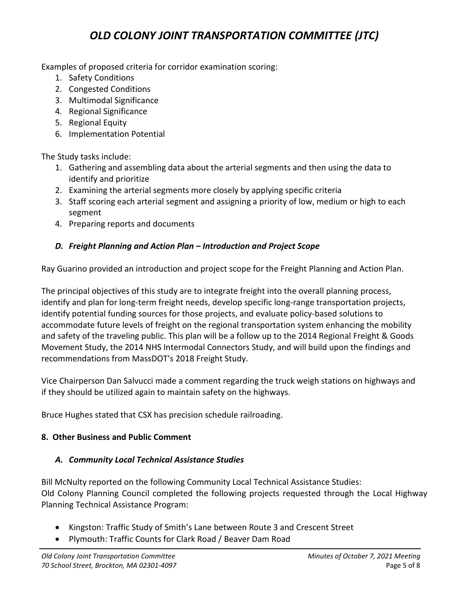Examples of proposed criteria for corridor examination scoring:

- 1. Safety Conditions
- 2. Congested Conditions
- 3. Multimodal Significance
- 4. Regional Significance
- 5. Regional Equity
- 6. Implementation Potential

The Study tasks include:

- 1. Gathering and assembling data about the arterial segments and then using the data to identify and prioritize
- 2. Examining the arterial segments more closely by applying specific criteria
- 3. Staff scoring each arterial segment and assigning a priority of low, medium or high to each segment
- 4. Preparing reports and documents

# *D. Freight Planning and Action Plan – Introduction and Project Scope*

Ray Guarino provided an introduction and project scope for the Freight Planning and Action Plan.

The principal objectives of this study are to integrate freight into the overall planning process, identify and plan for long-term freight needs, develop specific long-range transportation projects, identify potential funding sources for those projects, and evaluate policy-based solutions to accommodate future levels of freight on the regional transportation system enhancing the mobility and safety of the traveling public. This plan will be a follow up to the 2014 Regional Freight & Goods Movement Study, the 2014 NHS Intermodal Connectors Study, and will build upon the findings and recommendations from MassDOT's 2018 Freight Study.

Vice Chairperson Dan Salvucci made a comment regarding the truck weigh stations on highways and if they should be utilized again to maintain safety on the highways.

Bruce Hughes stated that CSX has precision schedule railroading.

# **8. Other Business and Public Comment**

# *A. Community Local Technical Assistance Studies*

Bill McNulty reported on the following Community Local Technical Assistance Studies: Old Colony Planning Council completed the following projects requested through the Local Highway Planning Technical Assistance Program:

- Kingston: Traffic Study of Smith's Lane between Route 3 and Crescent Street
- Plymouth: Traffic Counts for Clark Road / Beaver Dam Road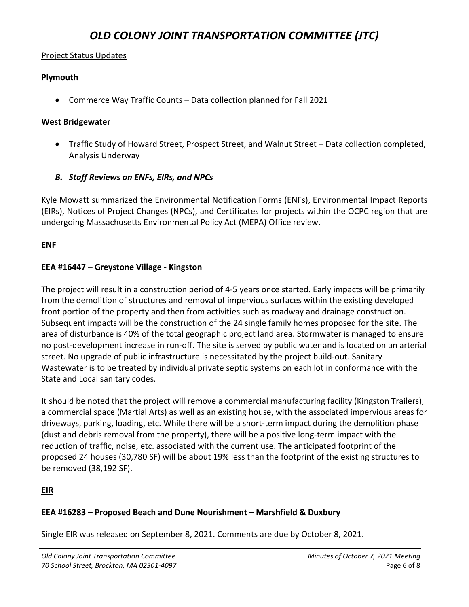### Project Status Updates

### **Plymouth**

• Commerce Way Traffic Counts – Data collection planned for Fall 2021

### **West Bridgewater**

• Traffic Study of Howard Street, Prospect Street, and Walnut Street – Data collection completed, Analysis Underway

## *B. Staff Reviews on ENFs, EIRs, and NPCs*

Kyle Mowatt summarized the Environmental Notification Forms (ENFs), Environmental Impact Reports (EIRs), Notices of Project Changes (NPCs), and Certificates for projects within the OCPC region that are undergoing Massachusetts Environmental Policy Act (MEPA) Office review.

## **ENF**

## **EEA #16447 – Greystone Village - Kingston**

The project will result in a construction period of 4-5 years once started. Early impacts will be primarily from the demolition of structures and removal of impervious surfaces within the existing developed front portion of the property and then from activities such as roadway and drainage construction. Subsequent impacts will be the construction of the 24 single family homes proposed for the site. The area of disturbance is 40% of the total geographic project land area. Stormwater is managed to ensure no post-development increase in run-off. The site is served by public water and is located on an arterial street. No upgrade of public infrastructure is necessitated by the project build-out. Sanitary Wastewater is to be treated by individual private septic systems on each lot in conformance with the State and Local sanitary codes.

It should be noted that the project will remove a commercial manufacturing facility (Kingston Trailers), a commercial space (Martial Arts) as well as an existing house, with the associated impervious areas for driveways, parking, loading, etc. While there will be a short-term impact during the demolition phase (dust and debris removal from the property), there will be a positive long-term impact with the reduction of traffic, noise, etc. associated with the current use. The anticipated footprint of the proposed 24 houses (30,780 SF) will be about 19% less than the footprint of the existing structures to be removed (38,192 SF).

# **EIR**

### **EEA #16283 – Proposed Beach and Dune Nourishment – Marshfield & Duxbury**

Single EIR was released on September 8, 2021. Comments are due by October 8, 2021.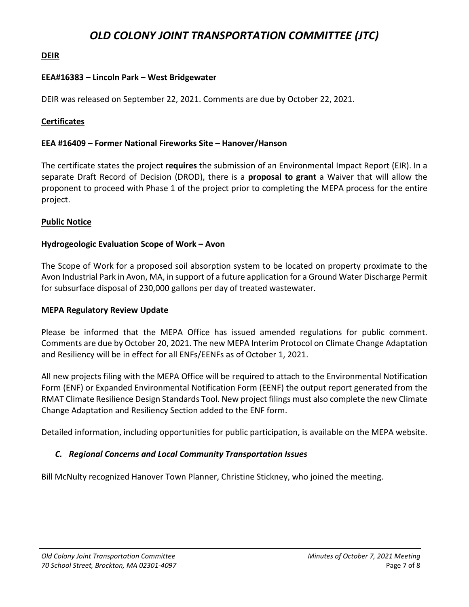## **DEIR**

### **EEA#16383 – Lincoln Park – West Bridgewater**

DEIR was released on September 22, 2021. Comments are due by October 22, 2021.

### **Certificates**

#### **EEA #16409 – Former National Fireworks Site – Hanover/Hanson**

The certificate states the project **requires** the submission of an Environmental Impact Report (EIR). In a separate Draft Record of Decision (DROD), there is a **proposal to grant** a Waiver that will allow the proponent to proceed with Phase 1 of the project prior to completing the MEPA process for the entire project.

### **Public Notice**

### **Hydrogeologic Evaluation Scope of Work – Avon**

The Scope of Work for a proposed soil absorption system to be located on property proximate to the Avon Industrial Park in Avon, MA, in support of a future application for a Ground Water Discharge Permit for subsurface disposal of 230,000 gallons per day of treated wastewater.

#### **MEPA Regulatory Review Update**

Please be informed that the MEPA Office has issued amended regulations for public comment. Comments are due by October 20, 2021. The new MEPA Interim Protocol on Climate Change Adaptation and Resiliency will be in effect for all ENFs/EENFs as of October 1, 2021.

All new projects filing with the MEPA Office will be required to attach to the Environmental Notification Form (ENF) or Expanded Environmental Notification Form (EENF) the output report generated from the RMAT Climate Resilience Design Standards Tool. New project filings must also complete the new Climate Change Adaptation and Resiliency Section added to the ENF form.

Detailed information, including opportunities for public participation, is available on the MEPA website.

### *C. Regional Concerns and Local Community Transportation Issues*

Bill McNulty recognized Hanover Town Planner, Christine Stickney, who joined the meeting.